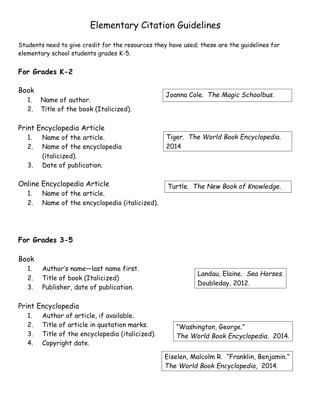# Elementary Citation Guidelines

Students need to give credit for the resources they have used; these are the guidelines for elementary school students grades K-5.

### **For Grades K-2**

#### Book

- 1. Name of author.
- 2. Title of the book (Italicized).

#### Print Encyclopedia Article

- 1. Name of the article.
- 2. Name of the encyclopedia (italicized).
- 3. Date of publication.

### Online Encyclopedia Article

- 1. Name of the article.
- 2. Name of the encyclopedia (italicized).

Joanna Cole. *The Magic Schoolbus*.

Tiger. *The World Book Encyclopedia.* 2014

Turtle. *The New Book of Knowledge*.

## **For Grades 3-5**

#### Book

- 1. Author's name—last name first.
- 2. Title of book (Italicized)
- 3. Publisher, date of publication.

## Print Encyclopedia

- 1. Author of article, if available.
- 2. Title of article in quotation marks.
- 3. Title of the encyclopedia (italicized).
- 4. Copyright date.

Landau, Elaine. *Sea Horses*. Doubleday, 2012.

"Washington, George." *The World Book Encyclopedia*. 2014.

Eiselen, Malcolm R. "Franklin, Benjamin." *The World Book Encyclopedia*, 2014.